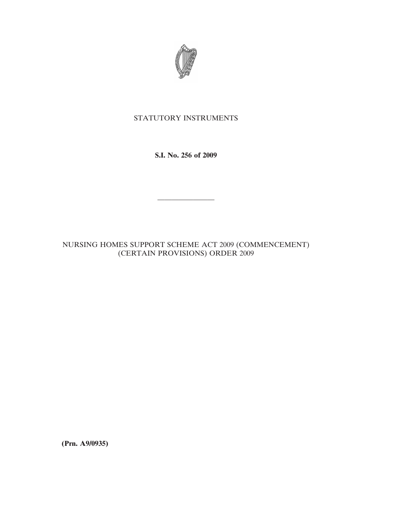

## STATUTORY INSTRUMENTS

**S.I. No. 256 of 2009**

————————

NURSING HOMES SUPPORT SCHEME ACT 2009 (COMMENCEMENT) (CERTAIN PROVISIONS) ORDER 2009

**(Prn. A9/0935)**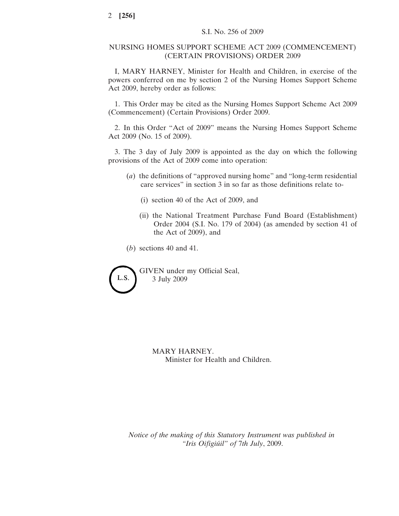## NURSING HOMES SUPPORT SCHEME ACT 2009 (COMMENCEMENT) (CERTAIN PROVISIONS) ORDER 2009

I, MARY HARNEY, Minister for Health and Children, in exercise of the powers conferred on me by section 2 of the Nursing Homes Support Scheme Act 2009, hereby order as follows:

1. This Order may be cited as the Nursing Homes Support Scheme Act 2009 (Commencement) (Certain Provisions) Order 2009.

2. In this Order "Act of 2009" means the Nursing Homes Support Scheme Act 2009 (No. 15 of 2009).

3. The 3 day of July 2009 is appointed as the day on which the following provisions of the Act of 2009 come into operation:

- (*a*) the definitions of "approved nursing home" and "long-term residential care services" in section 3 in so far as those definitions relate to-
	- (i) section 40 of the Act of 2009, and
	- (ii) the National Treatment Purchase Fund Board (Establishment) Order 2004 (S.I. No. 179 of 2004) (as amended by section 41 of the Act of 2009), and

(*b*) sections 40 and 41.



GIVEN under my Official Seal, 3 July 2009

> MARY HARNEY. Minister for Health and Children.

*Notice of the making of this Statutory Instrument was published in "Iris Oifigiu´il" of* 7*th July*, 2009.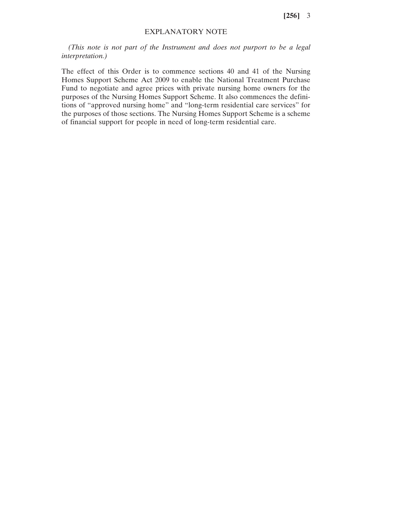**[256]** 3

## EXPLANATORY NOTE

*(This note is not part of the Instrument and does not purport to be a legal interpretation.)*

The effect of this Order is to commence sections 40 and 41 of the Nursing Homes Support Scheme Act 2009 to enable the National Treatment Purchase Fund to negotiate and agree prices with private nursing home owners for the purposes of the Nursing Homes Support Scheme. It also commences the definitions of "approved nursing home" and "long-term residential care services" for the purposes of those sections. The Nursing Homes Support Scheme is a scheme of financial support for people in need of long-term residential care.